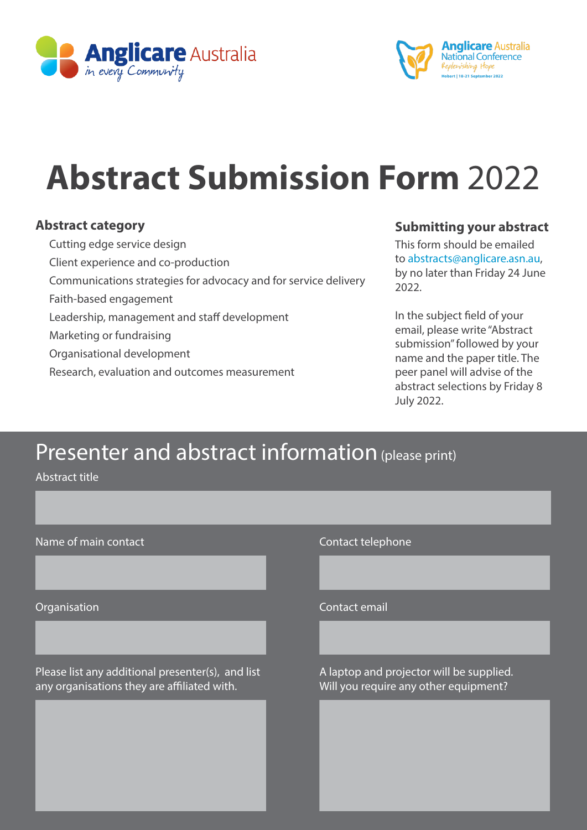



# **Abstract Submission Form** 2022

#### **Abstract category**

 Cutting edge service design Client experience and co-production Communications strategies for advocacy and for service delivery Faith-based engagement Leadership, management and staff development Marketing or fundraising Organisational development Research, evaluation and outcomes measurement

### **Submitting your abstract**

This form should be emailed to abstracts@anglicare.asn.au, by no later than Friday 24 June 2022.

In the subject field of your email, please write "Abstract submission" followed by your name and the paper title. The peer panel will advise of the abstract selections by Friday 8 July 2022.

### Presenter and abstract information (please print)

 $\overline{\phantom{a}}$ 

 $\overline{\phantom{a}}$ 

 $\overline{\phantom{a}}$ 

Abstract title

| Name of main contact |  |  |  |
|----------------------|--|--|--|
|----------------------|--|--|--|

Please list any additional presenter(s), and list A laptop and projector will be supplied. any organisations they are affiliated with. Will you require any other equipment?

Contact telephone

Organisation Contact email